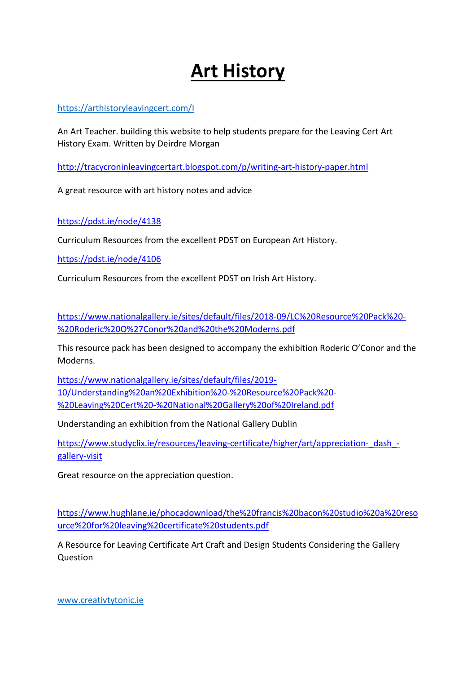## **Art History**

<https://arthistoryleavingcert.com/I>

An Art Teacher. building this website to help students prepare for the Leaving Cert Art History Exam. Written by Deirdre Morgan

<http://tracycroninleavingcertart.blogspot.com/p/writing-art-history-paper.html>

A great resource with art history notes and advice

<https://pdst.ie/node/4138>

Curriculum Resources from the excellent PDST on European Art History.

<https://pdst.ie/node/4106>

Curriculum Resources from the excellent PDST on Irish Art History.

[https://www.nationalgallery.ie/sites/default/files/2018-09/LC%20Resource%20Pack%20-](https://www.nationalgallery.ie/sites/default/files/2018-09/LC%20Resource%20Pack%20-%20Roderic%20O%27Conor%20and%20the%20Moderns.pdf) [%20Roderic%20O%27Conor%20and%20the%20Moderns.pdf](https://www.nationalgallery.ie/sites/default/files/2018-09/LC%20Resource%20Pack%20-%20Roderic%20O%27Conor%20and%20the%20Moderns.pdf)

This resource pack has been designed to accompany the exhibition Roderic O'Conor and the Moderns.

[https://www.nationalgallery.ie/sites/default/files/2019-](https://www.nationalgallery.ie/sites/default/files/2019-10/Understanding%20an%20Exhibition%20-%20Resource%20Pack%20-%20Leaving%20Cert%20-%20National%20Gallery%20of%20Ireland.pdf) [10/Understanding%20an%20Exhibition%20-%20Resource%20Pack%20-](https://www.nationalgallery.ie/sites/default/files/2019-10/Understanding%20an%20Exhibition%20-%20Resource%20Pack%20-%20Leaving%20Cert%20-%20National%20Gallery%20of%20Ireland.pdf) [%20Leaving%20Cert%20-%20National%20Gallery%20of%20Ireland.pdf](https://www.nationalgallery.ie/sites/default/files/2019-10/Understanding%20an%20Exhibition%20-%20Resource%20Pack%20-%20Leaving%20Cert%20-%20National%20Gallery%20of%20Ireland.pdf)

Understanding an exhibition from the National Gallery Dublin

[https://www.studyclix.ie/resources/leaving-certificate/higher/art/appreciation-\\_dash\\_](https://www.studyclix.ie/resources/leaving-certificate/higher/art/appreciation-_dash_-gallery-visit) [gallery-visit](https://www.studyclix.ie/resources/leaving-certificate/higher/art/appreciation-_dash_-gallery-visit)

Great resource on the appreciation question.

[https://www.hughlane.ie/phocadownload/the%20francis%20bacon%20studio%20a%20reso](https://www.hughlane.ie/phocadownload/the%20francis%20bacon%20studio%20a%20resource%20for%20leaving%20certificate%20students.pdf) [urce%20for%20leaving%20certificate%20students.pdf](https://www.hughlane.ie/phocadownload/the%20francis%20bacon%20studio%20a%20resource%20for%20leaving%20certificate%20students.pdf)

A Resource for Leaving Certificate Art Craft and Design Students Considering the Gallery Question

[www.creativtytonic.ie](http://www.creativtytonic.ie/)